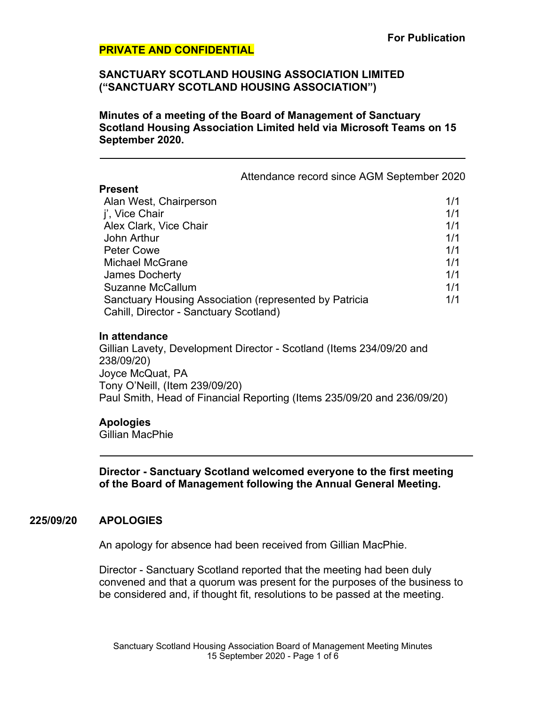### **SANCTUARY SCOTLAND HOUSING ASSOCIATION LIMITED ("SANCTUARY SCOTLAND HOUSING ASSOCIATION")**

**Minutes of a meeting of the Board of Management of Sanctuary Scotland Housing Association Limited held via Microsoft Teams on 15 September 2020.**

Attendance record since AGM September 2020

#### **Present**

| Alan West, Chairperson                                 | 1/1 |
|--------------------------------------------------------|-----|
| j', Vice Chair                                         | 1/1 |
| Alex Clark, Vice Chair                                 | 1/1 |
| John Arthur                                            | 1/1 |
| <b>Peter Cowe</b>                                      | 1/1 |
| <b>Michael McGrane</b>                                 | 1/1 |
| <b>James Docherty</b>                                  | 1/1 |
| <b>Suzanne McCallum</b>                                | 1/1 |
| Sanctuary Housing Association (represented by Patricia | 1/1 |
| Cahill, Director - Sanctuary Scotland)                 |     |
|                                                        |     |

#### **In attendance**

Gillian Lavety, Development Director - Scotland (Items 234/09/20 and 238/09/20) Joyce McQuat, PA Tony O'Neill, (Item 239/09/20) Paul Smith, Head of Financial Reporting (Items 235/09/20 and 236/09/20)

#### **Apologies**

Gillian MacPhie

**Director - Sanctuary Scotland welcomed everyone to the first meeting of the Board of Management following the Annual General Meeting.**

# **225/09/20 APOLOGIES**

An apology for absence had been received from Gillian MacPhie.

Director - Sanctuary Scotland reported that the meeting had been duly convened and that a quorum was present for the purposes of the business to be considered and, if thought fit, resolutions to be passed at the meeting.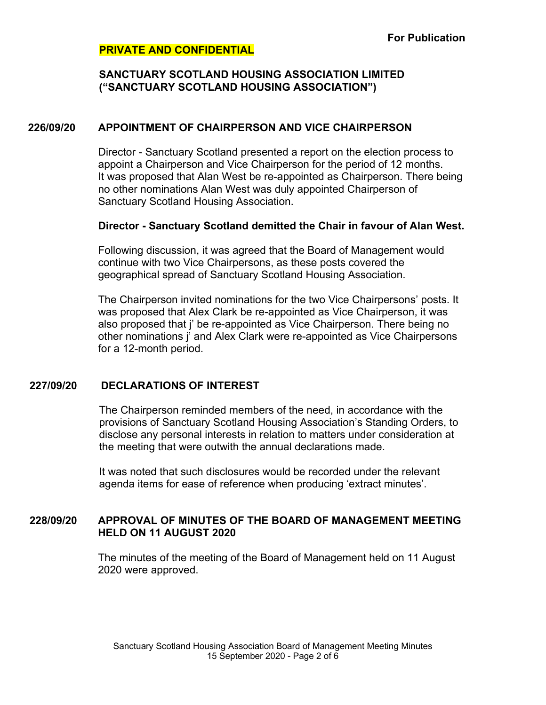### **SANCTUARY SCOTLAND HOUSING ASSOCIATION LIMITED ("SANCTUARY SCOTLAND HOUSING ASSOCIATION")**

### **226/09/20 APPOINTMENT OF CHAIRPERSON AND VICE CHAIRPERSON**

Director - Sanctuary Scotland presented a report on the election process to appoint a Chairperson and Vice Chairperson for the period of 12 months. It was proposed that Alan West be re-appointed as Chairperson. There being no other nominations Alan West was duly appointed Chairperson of Sanctuary Scotland Housing Association.

### **Director - Sanctuary Scotland demitted the Chair in favour of Alan West.**

Following discussion, it was agreed that the Board of Management would continue with two Vice Chairpersons, as these posts covered the geographical spread of Sanctuary Scotland Housing Association.

The Chairperson invited nominations for the two Vice Chairpersons' posts. It was proposed that Alex Clark be re-appointed as Vice Chairperson, it was also proposed that j' be re-appointed as Vice Chairperson. There being no other nominations j' and Alex Clark were re-appointed as Vice Chairpersons for a 12-month period.

# **227/09/20 DECLARATIONS OF INTEREST**

The Chairperson reminded members of the need, in accordance with the provisions of Sanctuary Scotland Housing Association's Standing Orders, to disclose any personal interests in relation to matters under consideration at the meeting that were outwith the annual declarations made.

It was noted that such disclosures would be recorded under the relevant agenda items for ease of reference when producing 'extract minutes'.

# **228/09/20 APPROVAL OF MINUTES OF THE BOARD OF MANAGEMENT MEETING HELD ON 11 AUGUST 2020**

The minutes of the meeting of the Board of Management held on 11 August 2020 were approved.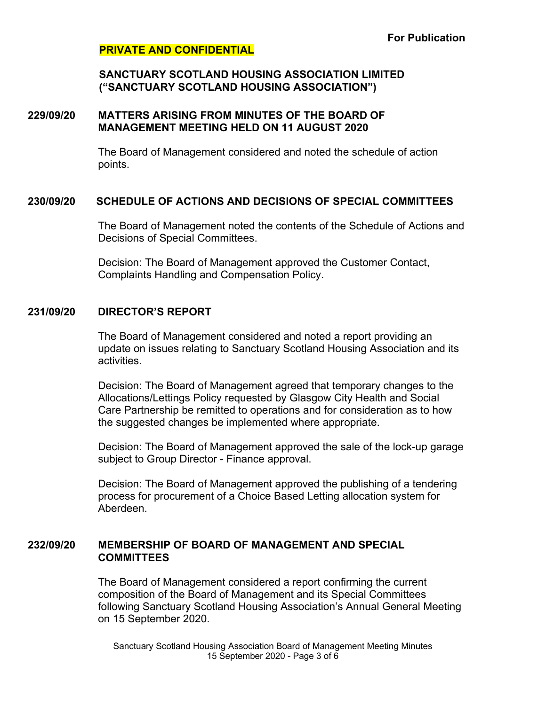### **SANCTUARY SCOTLAND HOUSING ASSOCIATION LIMITED ("SANCTUARY SCOTLAND HOUSING ASSOCIATION")**

### **229/09/20 MATTERS ARISING FROM MINUTES OF THE BOARD OF MANAGEMENT MEETING HELD ON 11 AUGUST 2020**

The Board of Management considered and noted the schedule of action points.

# **230/09/20 SCHEDULE OF ACTIONS AND DECISIONS OF SPECIAL COMMITTEES**

The Board of Management noted the contents of the Schedule of Actions and Decisions of Special Committees.

Decision: The Board of Management approved the Customer Contact, Complaints Handling and Compensation Policy.

# **231/09/20 DIRECTOR'S REPORT**

The Board of Management considered and noted a report providing an update on issues relating to Sanctuary Scotland Housing Association and its activities.

Decision: The Board of Management agreed that temporary changes to the Allocations/Lettings Policy requested by Glasgow City Health and Social Care Partnership be remitted to operations and for consideration as to how the suggested changes be implemented where appropriate.

Decision: The Board of Management approved the sale of the lock-up garage subject to Group Director - Finance approval.

Decision: The Board of Management approved the publishing of a tendering process for procurement of a Choice Based Letting allocation system for Aberdeen.

# **232/09/20 MEMBERSHIP OF BOARD OF MANAGEMENT AND SPECIAL COMMITTEES**

The Board of Management considered a report confirming the current composition of the Board of Management and its Special Committees following Sanctuary Scotland Housing Association's Annual General Meeting on 15 September 2020.

Sanctuary Scotland Housing Association Board of Management Meeting Minutes 15 September 2020 - Page 3 of 6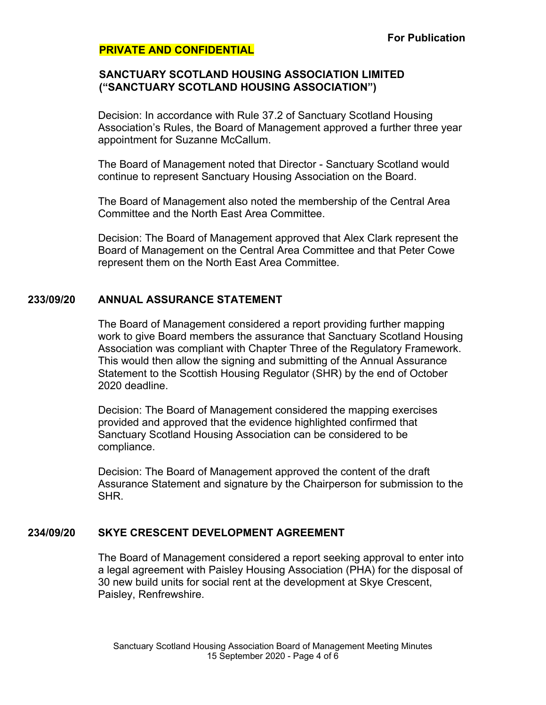### **SANCTUARY SCOTLAND HOUSING ASSOCIATION LIMITED ("SANCTUARY SCOTLAND HOUSING ASSOCIATION")**

Decision: In accordance with Rule 37.2 of Sanctuary Scotland Housing Association's Rules, the Board of Management approved a further three year appointment for Suzanne McCallum.

The Board of Management noted that Director - Sanctuary Scotland would continue to represent Sanctuary Housing Association on the Board.

The Board of Management also noted the membership of the Central Area Committee and the North East Area Committee.

Decision: The Board of Management approved that Alex Clark represent the Board of Management on the Central Area Committee and that Peter Cowe represent them on the North East Area Committee.

### **233/09/20 ANNUAL ASSURANCE STATEMENT**

The Board of Management considered a report providing further mapping work to give Board members the assurance that Sanctuary Scotland Housing Association was compliant with Chapter Three of the Regulatory Framework. This would then allow the signing and submitting of the Annual Assurance Statement to the Scottish Housing Regulator (SHR) by the end of October 2020 deadline.

Decision: The Board of Management considered the mapping exercises provided and approved that the evidence highlighted confirmed that Sanctuary Scotland Housing Association can be considered to be compliance.

Decision: The Board of Management approved the content of the draft Assurance Statement and signature by the Chairperson for submission to the SHR.

# **234/09/20 SKYE CRESCENT DEVELOPMENT AGREEMENT**

The Board of Management considered a report seeking approval to enter into a legal agreement with Paisley Housing Association (PHA) for the disposal of 30 new build units for social rent at the development at Skye Crescent, Paisley, Renfrewshire.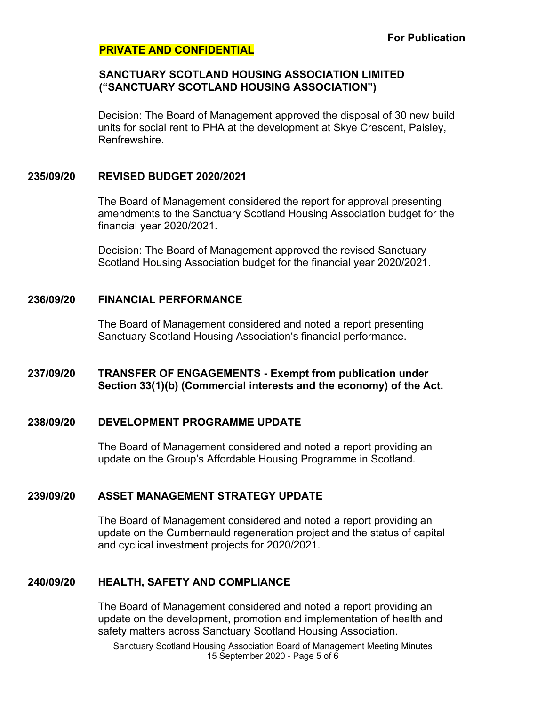### **SANCTUARY SCOTLAND HOUSING ASSOCIATION LIMITED ("SANCTUARY SCOTLAND HOUSING ASSOCIATION")**

Decision: The Board of Management approved the disposal of 30 new build units for social rent to PHA at the development at Skye Crescent, Paisley, **Renfrewshire** 

### **235/09/20 REVISED BUDGET 2020/2021**

The Board of Management considered the report for approval presenting amendments to the Sanctuary Scotland Housing Association budget for the financial year 2020/2021.

Decision: The Board of Management approved the revised Sanctuary Scotland Housing Association budget for the financial year 2020/2021.

#### **236/09/20 FINANCIAL PERFORMANCE**

The Board of Management considered and noted a report presenting Sanctuary Scotland Housing Association's financial performance.

# **237/09/20 TRANSFER OF ENGAGEMENTS - Exempt from publication under Section 33(1)(b) (Commercial interests and the economy) of the Act.**

# **238/09/20 DEVELOPMENT PROGRAMME UPDATE**

The Board of Management considered and noted a report providing an update on the Group's Affordable Housing Programme in Scotland.

# **239/09/20 ASSET MANAGEMENT STRATEGY UPDATE**

The Board of Management considered and noted a report providing an update on the Cumbernauld regeneration project and the status of capital and cyclical investment projects for 2020/2021.

# **240/09/20 HEALTH, SAFETY AND COMPLIANCE**

The Board of Management considered and noted a report providing an update on the development, promotion and implementation of health and safety matters across Sanctuary Scotland Housing Association.

Sanctuary Scotland Housing Association Board of Management Meeting Minutes 15 September 2020 - Page 5 of 6